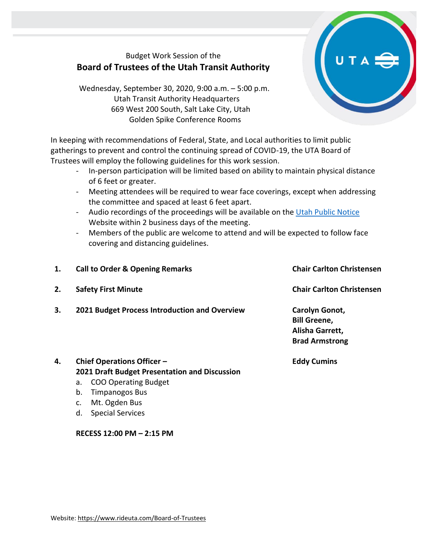# Budget Work Session of the **Board of Trustees of the Utah Transit Authority**

Wednesday, September 30, 2020, 9:00 a.m. – 5:00 p.m. Utah Transit Authority Headquarters 669 West 200 South, Salt Lake City, Utah Golden Spike Conference Rooms

In keeping with recommendations of Federal, State, and Local authorities to limit public gatherings to prevent and control the continuing spread of COVID-19, the UTA Board of Trustees will employ the following guidelines for this work session.

- In-person participation will be limited based on ability to maintain physical distance of 6 feet or greater.
- Meeting attendees will be required to wear face coverings, except when addressing the committee and spaced at least 6 feet apart.
- Audio recordings of the proceedings will be available on the [Utah Public Notice](https://www.utah.gov/pmn/index.html) Website within 2 business days of the meeting.
- Members of the public are welcome to attend and will be expected to follow face covering and distancing guidelines.

| 1. | <b>Call to Order &amp; Opening Remarks</b>                                                                                                                    | <b>Chair Carlton Christensen</b>                                                  |
|----|---------------------------------------------------------------------------------------------------------------------------------------------------------------|-----------------------------------------------------------------------------------|
| 2. | <b>Safety First Minute</b>                                                                                                                                    | <b>Chair Carlton Christensen</b>                                                  |
| 3. | 2021 Budget Process Introduction and Overview                                                                                                                 | Carolyn Gonot,<br><b>Bill Greene,</b><br>Alisha Garrett,<br><b>Brad Armstrong</b> |
| 4. | <b>Chief Operations Officer -</b><br><b>2021 Draft Budget Presentation and Discussion</b><br><b>COO Operating Budget</b><br>a.<br><b>Timpanogos Bus</b><br>b. | <b>Eddy Cumins</b>                                                                |

- c. Mt. Ogden Bus
- d. Special Services

## **RECESS 12:00 PM – 2:15 PM**